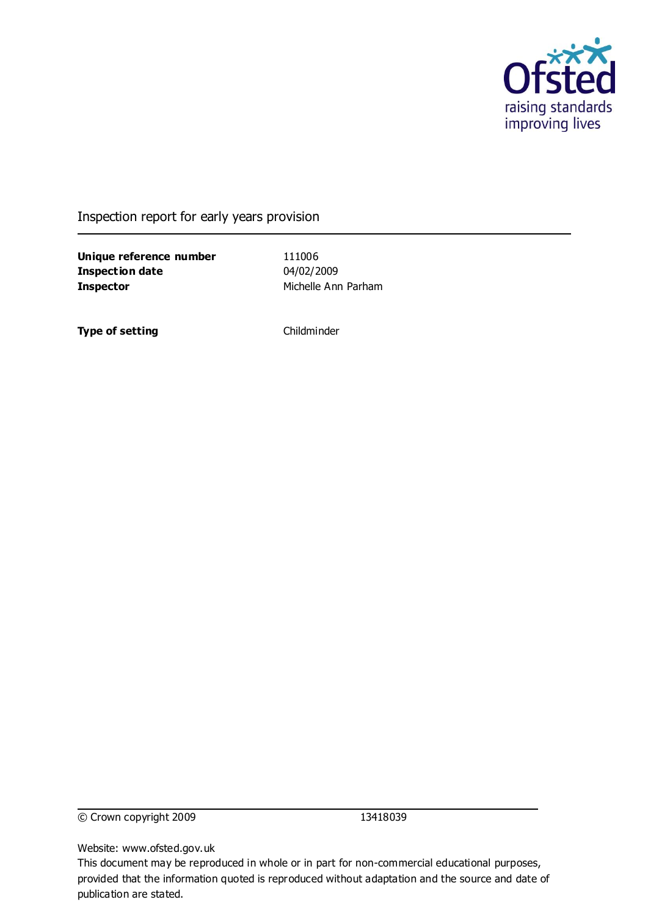

#### Inspection report for early years provision

**Unique reference number** 111006 **Inspection date** 04/02/2009 **Inspector** Michelle Ann Parham

**Type of setting** Childminder

© Crown copyright 2009 13418039

Website: www.ofsted.gov.uk

This document may be reproduced in whole or in part for non-commercial educational purposes, provided that the information quoted is reproduced without adaptation and the source and date of publication are stated.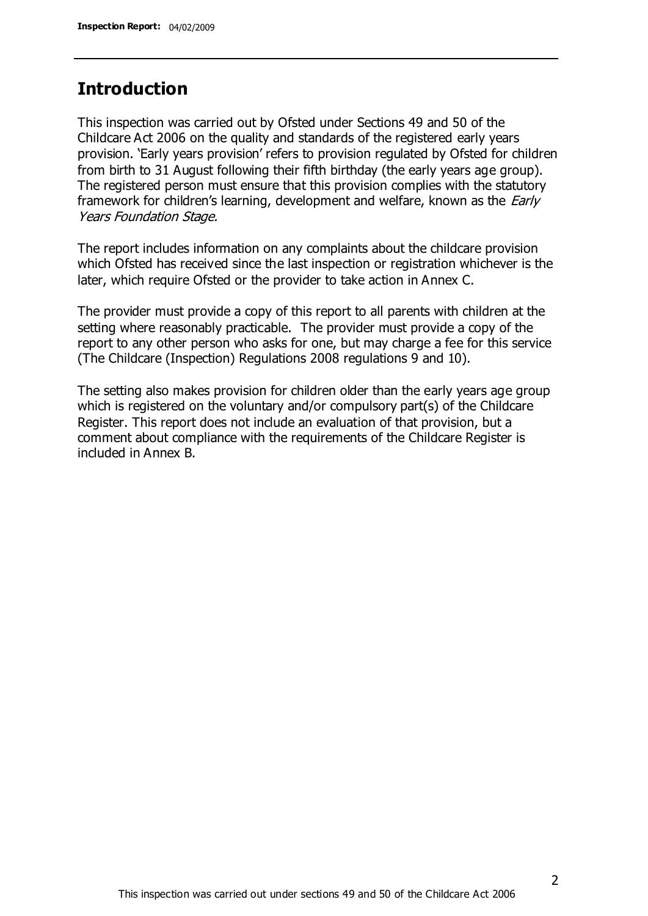# **Introduction**

This inspection was carried out by Ofsted under Sections 49 and 50 of the Childcare Act 2006 on the quality and standards of the registered early years provision. 'Early years provision' refers to provision regulated by Ofsted for children from birth to 31 August following their fifth birthday (the early years age group). The registered person must ensure that this provision complies with the statutory framework for children's learning, development and welfare, known as the *Early* Years Foundation Stage.

The report includes information on any complaints about the childcare provision which Ofsted has received since the last inspection or registration whichever is the later, which require Ofsted or the provider to take action in Annex C.

The provider must provide a copy of this report to all parents with children at the setting where reasonably practicable. The provider must provide a copy of the report to any other person who asks for one, but may charge a fee for this service (The Childcare (Inspection) Regulations 2008 regulations 9 and 10).

The setting also makes provision for children older than the early years age group which is registered on the voluntary and/or compulsory part(s) of the Childcare Register. This report does not include an evaluation of that provision, but a comment about compliance with the requirements of the Childcare Register is included in Annex B.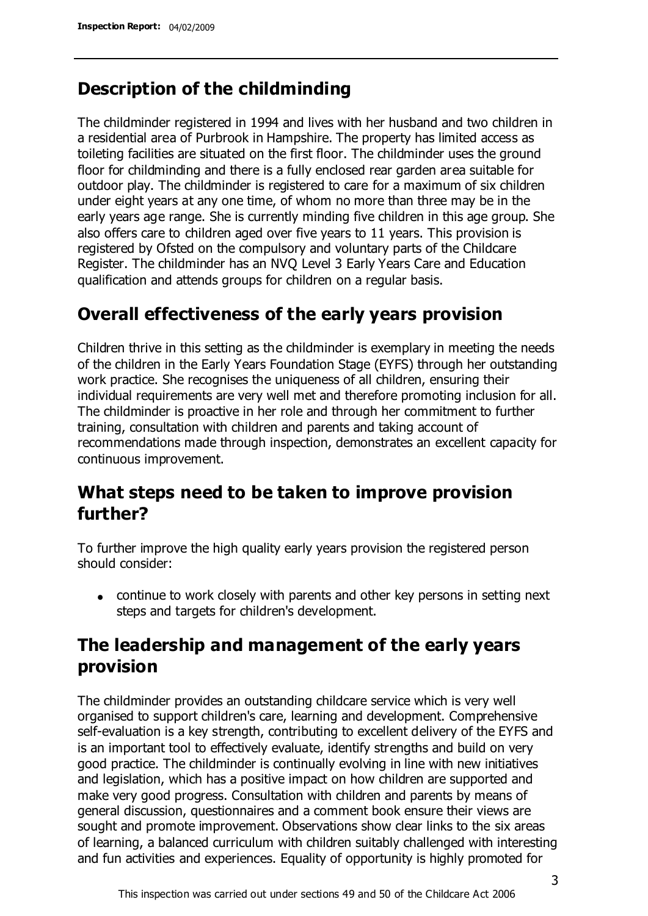# **Description of the childminding**

The childminder registered in 1994 and lives with her husband and two children in a residential area of Purbrook in Hampshire. The property has limited access as toileting facilities are situated on the first floor. The childminder uses the ground floor for childminding and there is a fully enclosed rear garden area suitable for outdoor play. The childminder is registered to care for a maximum of six children under eight years at any one time, of whom no more than three may be in the early years age range. She is currently minding five children in this age group. She also offers care to children aged over five years to 11 years. This provision is registered by Ofsted on the compulsory and voluntary parts of the Childcare Register. The childminder has an NVQ Level 3 Early Years Care and Education qualification and attends groups for children on a regular basis.

# **Overall effectiveness of the early years provision**

Children thrive in this setting as the childminder is exemplary in meeting the needs of the children in the Early Years Foundation Stage (EYFS) through her outstanding work practice. She recognises the uniqueness of all children, ensuring their individual requirements are very well met and therefore promoting inclusion for all. The childminder is proactive in her role and through her commitment to further training, consultation with children and parents and taking account of recommendations made through inspection, demonstrates an excellent capacity for continuous improvement.

# **What steps need to be taken to improve provision further?**

To further improve the high quality early years provision the registered person should consider:

continue to work closely with parents and other key persons in setting next steps and targets for children's development.

# **The leadership and management of the early years provision**

The childminder provides an outstanding childcare service which is very well organised to support children's care, learning and development. Comprehensive self-evaluation is a key strength, contributing to excellent delivery of the EYFS and is an important tool to effectively evaluate, identify strengths and build on very good practice. The childminder is continually evolving in line with new initiatives and legislation, which has a positive impact on how children are supported and make very good progress. Consultation with children and parents by means of general discussion, questionnaires and a comment book ensure their views are sought and promote improvement. Observations show clear links to the six areas of learning, a balanced curriculum with children suitably challenged with interesting and fun activities and experiences. Equality of opportunity is highly promoted for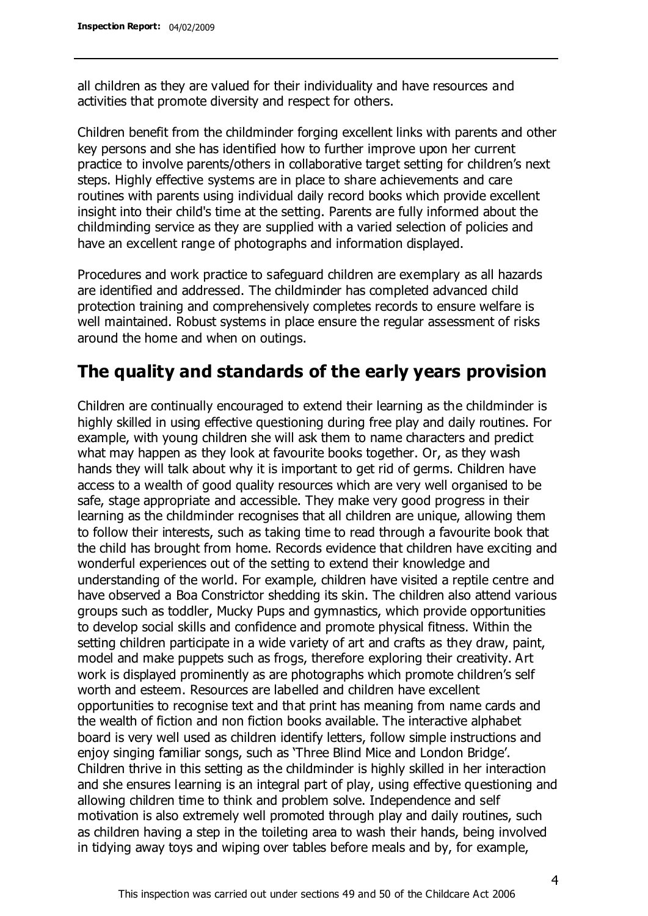all children as they are valued for their individuality and have resources and activities that promote diversity and respect for others.

Children benefit from the childminder forging excellent links with parents and other key persons and she has identified how to further improve upon her current practice to involve parents/others in collaborative target setting for children's next steps. Highly effective systems are in place to share achievements and care routines with parents using individual daily record books which provide excellent insight into their child's time at the setting. Parents are fully informed about the childminding service as they are supplied with a varied selection of policies and have an excellent range of photographs and information displayed.

Procedures and work practice to safeguard children are exemplary as all hazards are identified and addressed. The childminder has completed advanced child protection training and comprehensively completes records to ensure welfare is well maintained. Robust systems in place ensure the regular assessment of risks around the home and when on outings.

# **The quality and standards of the early years provision**

Children are continually encouraged to extend their learning as the childminder is highly skilled in using effective questioning during free play and daily routines. For example, with young children she will ask them to name characters and predict what may happen as they look at favourite books together. Or, as they wash hands they will talk about why it is important to get rid of germs. Children have access to a wealth of good quality resources which are very well organised to be safe, stage appropriate and accessible. They make very good progress in their learning as the childminder recognises that all children are unique, allowing them to follow their interests, such as taking time to read through a favourite book that the child has brought from home. Records evidence that children have exciting and wonderful experiences out of the setting to extend their knowledge and understanding of the world. For example, children have visited a reptile centre and have observed a Boa Constrictor shedding its skin. The children also attend various groups such as toddler, Mucky Pups and gymnastics, which provide opportunities to develop social skills and confidence and promote physical fitness. Within the setting children participate in a wide variety of art and crafts as they draw, paint, model and make puppets such as frogs, therefore exploring their creativity. Art work is displayed prominently as are photographs which promote children's self worth and esteem. Resources are labelled and children have excellent opportunities to recognise text and that print has meaning from name cards and the wealth of fiction and non fiction books available. The interactive alphabet board is very well used as children identify letters, follow simple instructions and enjoy singing familiar songs, such as 'Three Blind Mice and London Bridge'. Children thrive in this setting as the childminder is highly skilled in her interaction and she ensures learning is an integral part of play, using effective questioning and allowing children time to think and problem solve. Independence and self motivation is also extremely well promoted through play and daily routines, such as children having a step in the toileting area to wash their hands, being involved in tidying away toys and wiping over tables before meals and by, for example,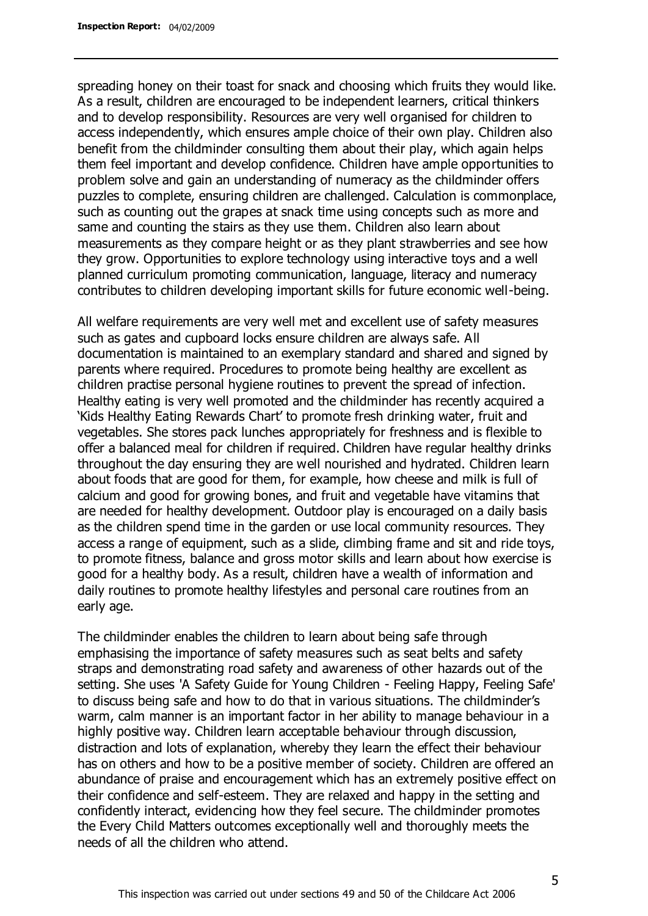spreading honey on their toast for snack and choosing which fruits they would like. As a result, children are encouraged to be independent learners, critical thinkers and to develop responsibility. Resources are very well organised for children to access independently, which ensures ample choice of their own play. Children also benefit from the childminder consulting them about their play, which again helps them feel important and develop confidence. Children have ample opportunities to problem solve and gain an understanding of numeracy as the childminder offers puzzles to complete, ensuring children are challenged. Calculation is commonplace, such as counting out the grapes at snack time using concepts such as more and same and counting the stairs as they use them. Children also learn about measurements as they compare height or as they plant strawberries and see how they grow. Opportunities to explore technology using interactive toys and a well planned curriculum promoting communication, language, literacy and numeracy contributes to children developing important skills for future economic well-being.

All welfare requirements are very well met and excellent use of safety measures such as gates and cupboard locks ensure children are always safe. All documentation is maintained to an exemplary standard and shared and signed by parents where required. Procedures to promote being healthy are excellent as children practise personal hygiene routines to prevent the spread of infection. Healthy eating is very well promoted and the childminder has recently acquired a 'Kids Healthy Eating Rewards Chart' to promote fresh drinking water, fruit and vegetables. She stores pack lunches appropriately for freshness and is flexible to offer a balanced meal for children if required. Children have regular healthy drinks throughout the day ensuring they are well nourished and hydrated. Children learn about foods that are good for them, for example, how cheese and milk is full of calcium and good for growing bones, and fruit and vegetable have vitamins that are needed for healthy development. Outdoor play is encouraged on a daily basis as the children spend time in the garden or use local community resources. They access a range of equipment, such as a slide, climbing frame and sit and ride toys, to promote fitness, balance and gross motor skills and learn about how exercise is good for a healthy body. As a result, children have a wealth of information and daily routines to promote healthy lifestyles and personal care routines from an early age.

The childminder enables the children to learn about being safe through emphasising the importance of safety measures such as seat belts and safety straps and demonstrating road safety and awareness of other hazards out of the setting. She uses 'A Safety Guide for Young Children - Feeling Happy, Feeling Safe' to discuss being safe and how to do that in various situations. The childminder's warm, calm manner is an important factor in her ability to manage behaviour in a highly positive way. Children learn acceptable behaviour through discussion, distraction and lots of explanation, whereby they learn the effect their behaviour has on others and how to be a positive member of society. Children are offered an abundance of praise and encouragement which has an extremely positive effect on their confidence and self-esteem. They are relaxed and happy in the setting and confidently interact, evidencing how they feel secure. The childminder promotes the Every Child Matters outcomes exceptionally well and thoroughly meets the needs of all the children who attend.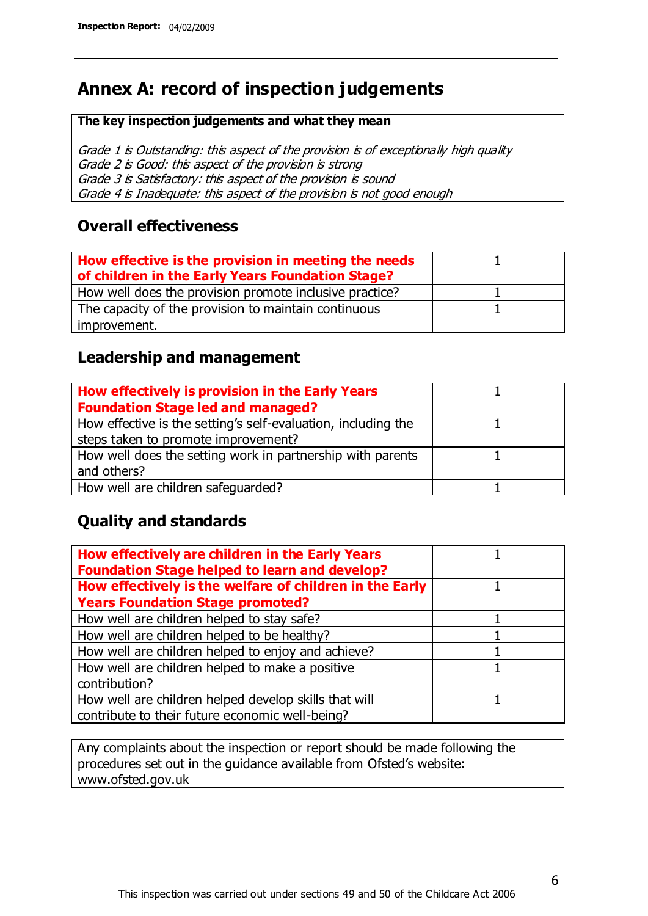# **Annex A: record of inspection judgements**

#### **The key inspection judgements and what they mean**

Grade 1 is Outstanding: this aspect of the provision is of exceptionally high quality Grade 2 is Good: this aspect of the provision is strong Grade 3 is Satisfactory: this aspect of the provision is sound Grade 4 is Inadequate: this aspect of the provision is not good enough

### **Overall effectiveness**

| How effective is the provision in meeting the needs<br>of children in the Early Years Foundation Stage? |  |
|---------------------------------------------------------------------------------------------------------|--|
| How well does the provision promote inclusive practice?                                                 |  |
| The capacity of the provision to maintain continuous                                                    |  |
| improvement.                                                                                            |  |

### **Leadership and management**

| How effectively is provision in the Early Years               |  |
|---------------------------------------------------------------|--|
| <b>Foundation Stage led and managed?</b>                      |  |
| How effective is the setting's self-evaluation, including the |  |
| steps taken to promote improvement?                           |  |
| How well does the setting work in partnership with parents    |  |
| and others?                                                   |  |
| How well are children safequarded?                            |  |

## **Quality and standards**

| How effectively are children in the Early Years<br><b>Foundation Stage helped to learn and develop?</b> |  |
|---------------------------------------------------------------------------------------------------------|--|
| How effectively is the welfare of children in the Early                                                 |  |
| <b>Years Foundation Stage promoted?</b>                                                                 |  |
| How well are children helped to stay safe?                                                              |  |
| How well are children helped to be healthy?                                                             |  |
| How well are children helped to enjoy and achieve?                                                      |  |
| How well are children helped to make a positive                                                         |  |
| contribution?                                                                                           |  |
| How well are children helped develop skills that will                                                   |  |
| contribute to their future economic well-being?                                                         |  |

Any complaints about the inspection or report should be made following the procedures set out in the guidance available from Ofsted's website: www.ofsted.gov.uk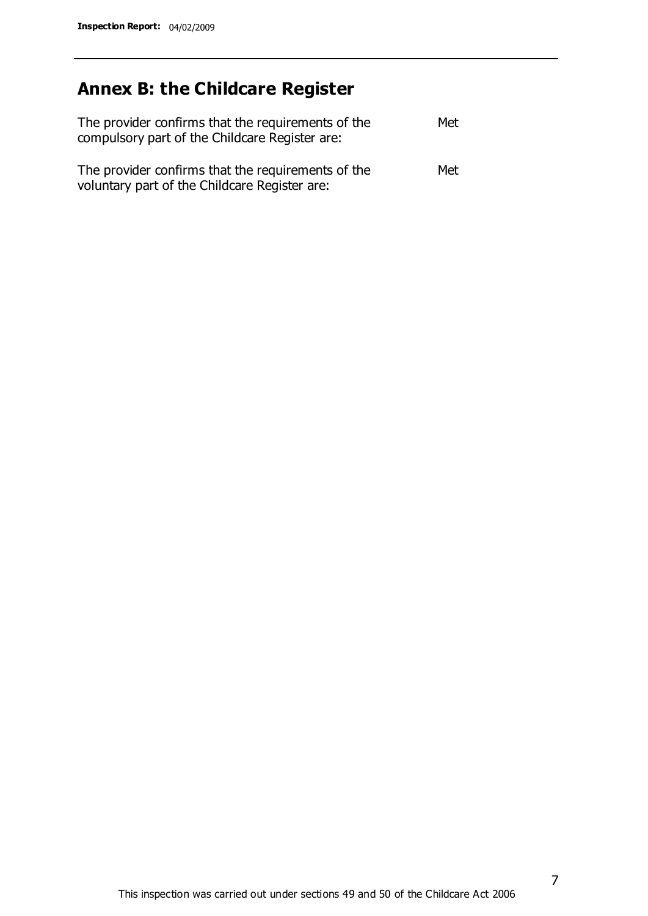# **Annex B: the Childcare Register**

| The provider confirms that the requirements of the<br>compulsory part of the Childcare Register are: | Met |
|------------------------------------------------------------------------------------------------------|-----|
| The provider confirms that the requirements of the<br>voluntary part of the Childcare Register are:  | Met |